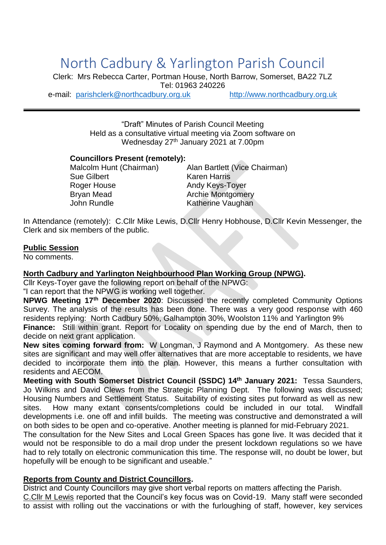# North Cadbury & Yarlington Parish Council

Clerk: Mrs Rebecca Carter, Portman House, North Barrow, Somerset, BA22 7LZ Tel: 01963 240226

e-mail: [parishclerk@northcadbury.org.uk](mailto:parishclerk@northcadbury.org.uk) [http://www.northcadbury.org.uk](http://www.northcadbury.org.uk/)

"Draft" Minutes of Parish Council Meeting Held as a consultative virtual meeting via Zoom software on Wednesday 27<sup>th</sup> January 2021 at 7.00pm

#### **Councillors Present (remotely):**

Sue Gilbert Karen Harris Roger House **Andy Keys-Toyer** Bryan Mead **Archie Montgomery** John Rundle **Katherine Vaughan** 

Malcolm Hunt (Chairman) Alan Bartlett (Vice Chairman)

In Attendance (remotely): C.Cllr Mike Lewis, D.Cllr Henry Hobhouse, D.Cllr Kevin Messenger, the Clerk and six members of the public.

#### **Public Session**

No comments.

#### **North Cadbury and Yarlington Neighbourhood Plan Working Group (NPWG).**

Cllr Keys-Toyer gave the following report on behalf of the NPWG:

"I can report that the NPWG is working well together.

**NPWG Meeting 17th December 2020**: Discussed the recently completed Community Options Survey. The analysis of the results has been done. There was a very good response with 460 residents replying: North Cadbury 50%, Galhampton 30%, Woolston 11% and Yarlington 9%

**Finance:** Still within grant. Report for Locality on spending due by the end of March, then to decide on next grant application.

**New sites coming forward from:** W Longman, J Raymond and A Montgomery. As these new sites are significant and may well offer alternatives that are more acceptable to residents, we have decided to incorporate them into the plan. However, this means a further consultation with residents and AECOM.

**Meeting with South Somerset District Council (SSDC) 14th January 2021:** Tessa Saunders, Jo Wilkins and David Clews from the Strategic Planning Dept. The following was discussed; Housing Numbers and Settlement Status. Suitability of existing sites put forward as well as new sites. How many extant consents/completions could be included in our total. Windfall developments i.e. one off and infill builds. The meeting was constructive and demonstrated a will on both sides to be open and co-operative. Another meeting is planned for mid-February 2021.

The consultation for the New Sites and Local Green Spaces has gone live. It was decided that it would not be responsible to do a mail drop under the present lockdown regulations so we have had to rely totally on electronic communication this time. The response will, no doubt be lower, but hopefully will be enough to be significant and useable."

#### **Reports from County and District Councillors.**

District and County Councillors may give short verbal reports on matters affecting the Parish. C.Cllr M Lewis reported that the Council's key focus was on Covid-19. Many staff were seconded to assist with rolling out the vaccinations or with the furloughing of staff, however, key services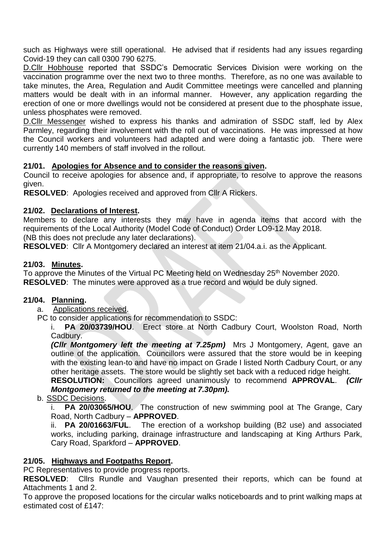such as Highways were still operational. He advised that if residents had any issues regarding Covid-19 they can call 0300 790 6275.

D.Cllr Hobhouse reported that SSDC's Democratic Services Division were working on the vaccination programme over the next two to three months. Therefore, as no one was available to take minutes, the Area, Regulation and Audit Committee meetings were cancelled and planning matters would be dealt with in an informal manner. However, any application regarding the erection of one or more dwellings would not be considered at present due to the phosphate issue, unless phosphates were removed.

D.Cllr Messenger wished to express his thanks and admiration of SSDC staff, led by Alex Parmley, regarding their involvement with the roll out of vaccinations. He was impressed at how the Council workers and volunteers had adapted and were doing a fantastic job. There were currently 140 members of staff involved in the rollout.

# **21/01. Apologies for Absence and to consider the reasons given.**

Council to receive apologies for absence and, if appropriate, to resolve to approve the reasons given.

**RESOLVED**: Apologies received and approved from Cllr A Rickers.

## **21/02. Declarations of Interest.**

Members to declare any interests they may have in agenda items that accord with the requirements of the Local Authority (Model Code of Conduct) Order LO9-12 May 2018.

(NB this does not preclude any later declarations).

**RESOLVED**: Cllr A Montgomery declared an interest at item 21/04.a.i. as the Applicant.

## **21/03. Minutes.**

To approve the Minutes of the Virtual PC Meeting held on Wednesday 25<sup>th</sup> November 2020. **RESOLVED**: The minutes were approved as a true record and would be duly signed.

#### **21/04. Planning.**

a. Applications received.

PC to consider applications for recommendation to SSDC:

i. **PA 20/03739/HOU**. Erect store at North Cadbury Court, Woolston Road, North Cadbury.

*(Cllr Montgomery left the meeting at 7.25pm)* Mrs J Montgomery, Agent, gave an outline of the application. Councillors were assured that the store would be in keeping with the existing lean-to and have no impact on Grade I listed North Cadbury Court, or any other heritage assets. The store would be slightly set back with a reduced ridge height.

**RESOLUTION:** Councillors agreed unanimously to recommend **APPROVAL**. *(Cllr Montgomery returned to the meeting at 7.30pm).*

# b. SSDC Decisions.

i. **PA 20/03065/HOU**. The construction of new swimming pool at The Grange, Cary Road, North Cadbury – **APPROVED**.

ii. **PA 20/01663/FUL**. The erection of a workshop building (B2 use) and associated works, including parking, drainage infrastructure and landscaping at King Arthurs Park, Cary Road, Sparkford – **APPROVED**.

#### **21/05. Highways and Footpaths Report.**

PC Representatives to provide progress reports.

**RESOLVED**: Cllrs Rundle and Vaughan presented their reports, which can be found at Attachments 1 and 2.

To approve the proposed locations for the circular walks noticeboards and to print walking maps at estimated cost of £147: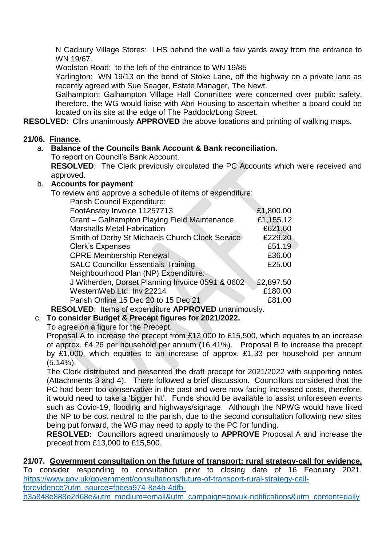N Cadbury Village Stores: LHS behind the wall a few yards away from the entrance to WN 19/67.

Woolston Road: to the left of the entrance to WN 19/85

Yarlington: WN 19/13 on the bend of Stoke Lane, off the highway on a private lane as recently agreed with Sue Seager, Estate Manager, The Newt.

Galhampton: Galhampton Village Hall Committee were concerned over public safety, therefore, the WG would liaise with Abri Housing to ascertain whether a board could be located on its site at the edge of The Paddock/Long Street.

**RESOLVED**: Cllrs unanimously **APPROVED** the above locations and printing of walking maps.

# **21/06. Finance.**

# a. **Balance of the Councils Bank Account & Bank reconciliation**.

To report on Council's Bank Account.

**RESOLVED**: The Clerk previously circulated the PC Accounts which were received and approved.

# b. **Accounts for payment**

To review and approve a schedule of items of expenditure:

| Parish Council Expenditure:                      |           |
|--------------------------------------------------|-----------|
| FootAnstey Invoice 11257713                      | £1,800.00 |
| Grant - Galhampton Playing Field Maintenance     | £1,155.12 |
| <b>Marshalls Metal Fabrication</b>               | £621.60   |
| Smith of Derby St Michaels Church Clock Service  | £229.20   |
| <b>Clerk's Expenses</b>                          | £51.19    |
| <b>CPRE Membership Renewal</b>                   | £36.00    |
| <b>SALC Councillor Essentials Training</b>       | £25.00    |
| Neighbourhood Plan (NP) Expenditure:             |           |
| J Witherden, Dorset Planning Invoice 0591 & 0602 | £2,897.50 |
| WesternWeb Ltd. Inv 22214                        | £180.00   |
| Parish Online 15 Dec 20 to 15 Dec 21             | £81.00    |
|                                                  |           |

**RESOLVED**: Items of expenditure **APPROVED** unanimously.

c. **To consider Budget & Precept figures for 2021/2022.**

To agree on a figure for the Precept.

Proposal A to increase the precept from £13,000 to £15,500, which equates to an increase of approx. £4.26 per household per annum (16.41%). Proposal B to increase the precept by £1,000, which equates to an increase of approx. £1.33 per household per annum  $(5.14\%)$ .

The Clerk distributed and presented the draft precept for 2021/2022 with supporting notes (Attachments 3 and 4). There followed a brief discussion. Councillors considered that the PC had been too conservative in the past and were now facing increased costs, therefore, it would need to take a 'bigger hit'. Funds should be available to assist unforeseen events such as Covid-19, flooding and highways/signage. Although the NPWG would have liked the NP to be cost neutral to the parish, due to the second consultation following new sites being put forward, the WG may need to apply to the PC for funding.

**RESOLVED:** Councillors agreed unanimously to **APPROVE** Proposal A and increase the precept from £13,000 to £15,500.

# **21/07. Government consultation on the future of transport: rural strategy-call for evidence.**

To consider responding to consultation prior to closing date of 16 February 2021. [https://www.gov.uk/government/consultations/future-of-transport-rural-strategy-call-](https://www.gov.uk/government/consultations/future-of-transport-rural-strategy-call-forevidence?utm_source=fbeea974-8a4b-4dfb-b3a848e888e2d68e&utm_medium=email&utm_campaign=govuk-notifications&utm_content=daily)

[forevidence?utm\\_source=fbeea974-8a4b-4dfb-](https://www.gov.uk/government/consultations/future-of-transport-rural-strategy-call-forevidence?utm_source=fbeea974-8a4b-4dfb-b3a848e888e2d68e&utm_medium=email&utm_campaign=govuk-notifications&utm_content=daily)

[b3a848e888e2d68e&utm\\_medium=email&utm\\_campaign=govuk-notifications&utm\\_content=daily](https://www.gov.uk/government/consultations/future-of-transport-rural-strategy-call-forevidence?utm_source=fbeea974-8a4b-4dfb-b3a848e888e2d68e&utm_medium=email&utm_campaign=govuk-notifications&utm_content=daily)